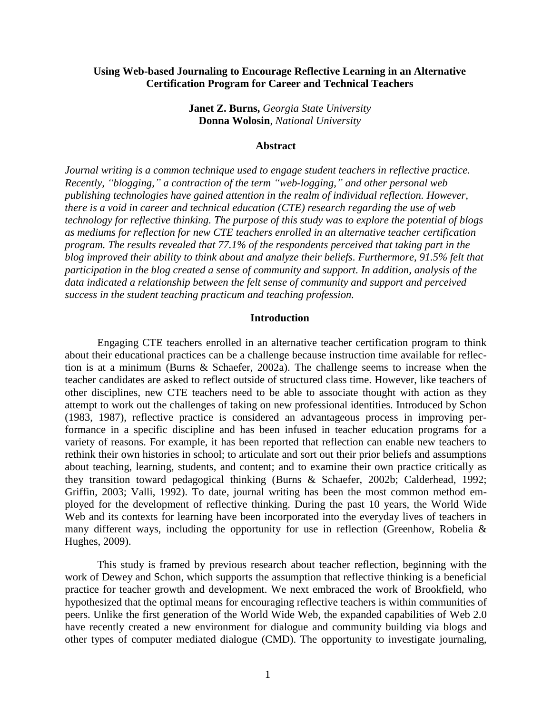### **Using Web-based Journaling to Encourage Reflective Learning in an Alternative Certification Program for Career and Technical Teachers**

**Janet Z. Burns,** *Georgia State University* **Donna Wolosin**, *National University*

#### **Abstract**

*Journal writing is a common technique used to engage student teachers in reflective practice. Recently, "blogging," a contraction of the term "web-logging," and other personal web publishing technologies have gained attention in the realm of individual reflection. However, there is a void in career and technical education (CTE) research regarding the use of web technology for reflective thinking. The purpose of this study was to explore the potential of blogs as mediums for reflection for new CTE teachers enrolled in an alternative teacher certification program. The results revealed that 77.1% of the respondents perceived that taking part in the blog improved their ability to think about and analyze their beliefs. Furthermore, 91.5% felt that participation in the blog created a sense of community and support. In addition, analysis of the data indicated a relationship between the felt sense of community and support and perceived success in the student teaching practicum and teaching profession.*

#### **Introduction**

Engaging CTE teachers enrolled in an alternative teacher certification program to think about their educational practices can be a challenge because instruction time available for reflection is at a minimum (Burns & Schaefer, 2002a). The challenge seems to increase when the teacher candidates are asked to reflect outside of structured class time. However, like teachers of other disciplines, new CTE teachers need to be able to associate thought with action as they attempt to work out the challenges of taking on new professional identities. Introduced by Schon (1983, 1987), reflective practice is considered an advantageous process in improving performance in a specific discipline and has been infused in teacher education programs for a variety of reasons. For example, it has been reported that reflection can enable new teachers to rethink their own histories in school; to articulate and sort out their prior beliefs and assumptions about teaching, learning, students, and content; and to examine their own practice critically as they transition toward pedagogical thinking (Burns & Schaefer, 2002b; Calderhead, 1992; Griffin, 2003; Valli, 1992). To date, journal writing has been the most common method employed for the development of reflective thinking. During the past 10 years, the World Wide Web and its contexts for learning have been incorporated into the everyday lives of teachers in many different ways, including the opportunity for use in reflection (Greenhow, Robelia & Hughes, 2009).

This study is framed by previous research about teacher reflection, beginning with the work of Dewey and Schon, which supports the assumption that reflective thinking is a beneficial practice for teacher growth and development. We next embraced the work of Brookfield, who hypothesized that the optimal means for encouraging reflective teachers is within communities of peers. Unlike the first generation of the World Wide Web, the expanded capabilities of Web 2.0 have recently created a new environment for dialogue and community building via blogs and other types of computer mediated dialogue (CMD). The opportunity to investigate journaling,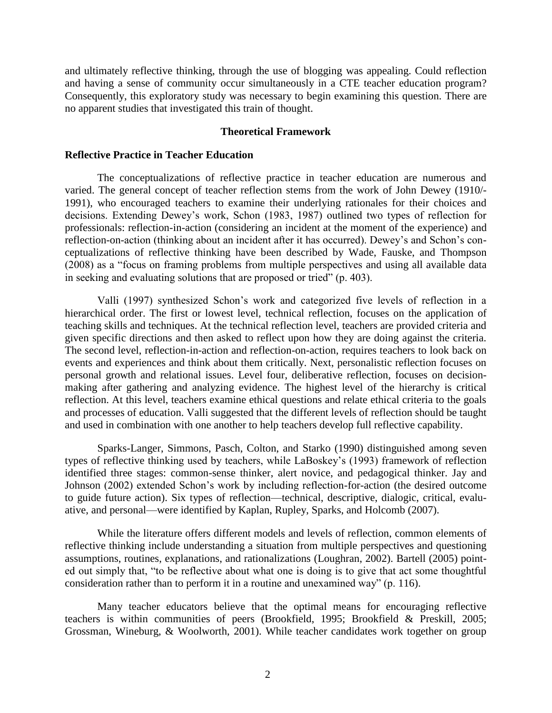and ultimately reflective thinking, through the use of blogging was appealing. Could reflection and having a sense of community occur simultaneously in a CTE teacher education program? Consequently, this exploratory study was necessary to begin examining this question. There are no apparent studies that investigated this train of thought.

#### **Theoretical Framework**

#### **Reflective Practice in Teacher Education**

The conceptualizations of reflective practice in teacher education are numerous and varied. The general concept of teacher reflection stems from the work of John Dewey (1910/- 1991), who encouraged teachers to examine their underlying rationales for their choices and decisions. Extending Dewey's work, Schon (1983, 1987) outlined two types of reflection for professionals: reflection-in-action (considering an incident at the moment of the experience) and reflection-on-action (thinking about an incident after it has occurred). Dewey's and Schon's conceptualizations of reflective thinking have been described by Wade, Fauske, and Thompson (2008) as a "focus on framing problems from multiple perspectives and using all available data in seeking and evaluating solutions that are proposed or tried" (p. 403).

Valli (1997) synthesized Schon's work and categorized five levels of reflection in a hierarchical order. The first or lowest level, technical reflection, focuses on the application of teaching skills and techniques. At the technical reflection level, teachers are provided criteria and given specific directions and then asked to reflect upon how they are doing against the criteria. The second level, reflection-in-action and reflection-on-action, requires teachers to look back on events and experiences and think about them critically. Next, personalistic reflection focuses on personal growth and relational issues. Level four, deliberative reflection, focuses on decisionmaking after gathering and analyzing evidence. The highest level of the hierarchy is critical reflection. At this level, teachers examine ethical questions and relate ethical criteria to the goals and processes of education. Valli suggested that the different levels of reflection should be taught and used in combination with one another to help teachers develop full reflective capability.

Sparks-Langer, Simmons, Pasch, Colton, and Starko (1990) distinguished among seven types of reflective thinking used by teachers, while LaBoskey's (1993) framework of reflection identified three stages: common-sense thinker, alert novice, and pedagogical thinker. Jay and Johnson (2002) extended Schon's work by including reflection-for-action (the desired outcome to guide future action). Six types of reflection—technical, descriptive, dialogic, critical, evaluative, and personal—were identified by Kaplan, Rupley, Sparks, and Holcomb (2007).

While the literature offers different models and levels of reflection, common elements of reflective thinking include understanding a situation from multiple perspectives and questioning assumptions, routines, explanations, and rationalizations (Loughran, 2002). Bartell (2005) pointed out simply that, "to be reflective about what one is doing is to give that act some thoughtful consideration rather than to perform it in a routine and unexamined way" (p. 116).

Many teacher educators believe that the optimal means for encouraging reflective teachers is within communities of peers (Brookfield, 1995; Brookfield & Preskill, 2005; Grossman, Wineburg, & Woolworth, 2001). While teacher candidates work together on group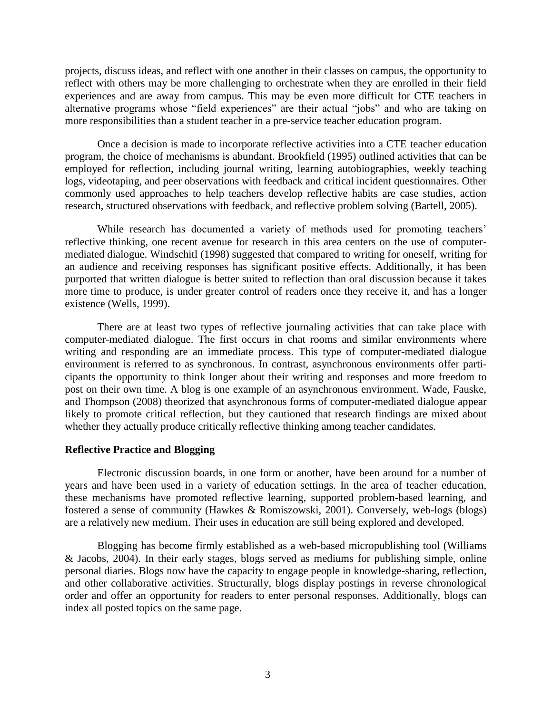projects, discuss ideas, and reflect with one another in their classes on campus, the opportunity to reflect with others may be more challenging to orchestrate when they are enrolled in their field experiences and are away from campus. This may be even more difficult for CTE teachers in alternative programs whose "field experiences" are their actual "jobs" and who are taking on more responsibilities than a student teacher in a pre-service teacher education program.

Once a decision is made to incorporate reflective activities into a CTE teacher education program, the choice of mechanisms is abundant. Brookfield (1995) outlined activities that can be employed for reflection, including journal writing, learning autobiographies, weekly teaching logs, videotaping, and peer observations with feedback and critical incident questionnaires. Other commonly used approaches to help teachers develop reflective habits are case studies, action research, structured observations with feedback, and reflective problem solving (Bartell, 2005).

While research has documented a variety of methods used for promoting teachers' reflective thinking, one recent avenue for research in this area centers on the use of computermediated dialogue. Windschitl (1998) suggested that compared to writing for oneself, writing for an audience and receiving responses has significant positive effects. Additionally, it has been purported that written dialogue is better suited to reflection than oral discussion because it takes more time to produce, is under greater control of readers once they receive it, and has a longer existence (Wells, 1999).

There are at least two types of reflective journaling activities that can take place with computer-mediated dialogue. The first occurs in chat rooms and similar environments where writing and responding are an immediate process. This type of computer-mediated dialogue environment is referred to as synchronous. In contrast, asynchronous environments offer participants the opportunity to think longer about their writing and responses and more freedom to post on their own time. A blog is one example of an asynchronous environment. Wade, Fauske, and Thompson (2008) theorized that asynchronous forms of computer-mediated dialogue appear likely to promote critical reflection, but they cautioned that research findings are mixed about whether they actually produce critically reflective thinking among teacher candidates.

# **Reflective Practice and Blogging**

Electronic discussion boards, in one form or another, have been around for a number of years and have been used in a variety of education settings. In the area of teacher education, these mechanisms have promoted reflective learning, supported problem-based learning, and fostered a sense of community (Hawkes & Romiszowski, 2001). Conversely, web-logs (blogs) are a relatively new medium. Their uses in education are still being explored and developed.

Blogging has become firmly established as a web-based micropublishing tool (Williams & Jacobs, 2004). In their early stages, blogs served as mediums for publishing simple, online personal diaries. Blogs now have the capacity to engage people in knowledge-sharing, reflection, and other collaborative activities. Structurally, blogs display postings in reverse chronological order and offer an opportunity for readers to enter personal responses. Additionally, blogs can index all posted topics on the same page.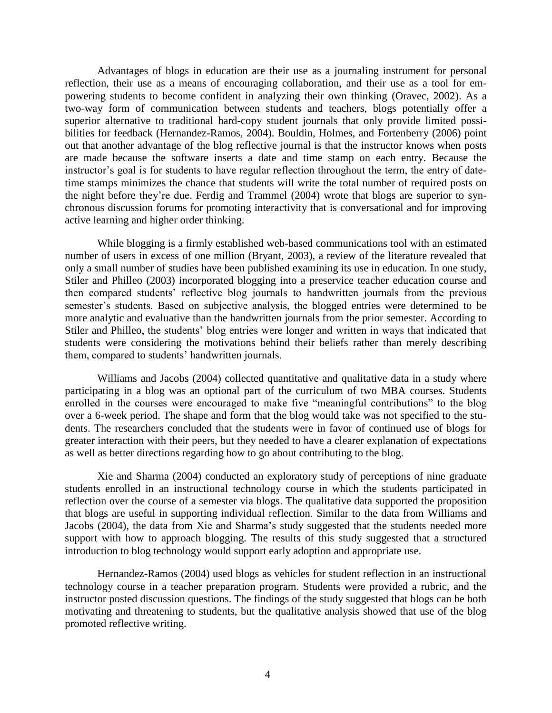Advantages of blogs in education are their use as a journaling instrument for personal reflection, their use as a means of encouraging collaboration, and their use as a tool for empowering students to become confident in analyzing their own thinking (Oravec, 2002). As a two-way form of communication between students and teachers, blogs potentially offer a superior alternative to traditional hard-copy student journals that only provide limited possibilities for feedback (Hernandez-Ramos, 2004). Bouldin, Holmes, and Fortenberry (2006) point out that another advantage of the blog reflective journal is that the instructor knows when posts are made because the software inserts a date and time stamp on each entry. Because the instructor's goal is for students to have regular reflection throughout the term, the entry of datetime stamps minimizes the chance that students will write the total number of required posts on the night before they're due. Ferdig and Trammel (2004) wrote that blogs are superior to synchronous discussion forums for promoting interactivity that is conversational and for improving active learning and higher order thinking.

While blogging is a firmly established web-based communications tool with an estimated number of users in excess of one million (Bryant, 2003), a review of the literature revealed that only a small number of studies have been published examining its use in education. In one study, Stiler and Philleo (2003) incorporated blogging into a preservice teacher education course and then compared students' reflective blog journals to handwritten journals from the previous semester's students. Based on subjective analysis, the blogged entries were determined to be more analytic and evaluative than the handwritten journals from the prior semester. According to Stiler and Philleo, the students' blog entries were longer and written in ways that indicated that students were considering the motivations behind their beliefs rather than merely describing them, compared to students' handwritten journals.

Williams and Jacobs (2004) collected quantitative and qualitative data in a study where participating in a blog was an optional part of the curriculum of two MBA courses. Students enrolled in the courses were encouraged to make five "meaningful contributions" to the blog over a 6-week period. The shape and form that the blog would take was not specified to the students. The researchers concluded that the students were in favor of continued use of blogs for greater interaction with their peers, but they needed to have a clearer explanation of expectations as well as better directions regarding how to go about contributing to the blog.

Xie and Sharma (2004) conducted an exploratory study of perceptions of nine graduate students enrolled in an instructional technology course in which the students participated in reflection over the course of a semester via blogs. The qualitative data supported the proposition that blogs are useful in supporting individual reflection. Similar to the data from Williams and Jacobs (2004), the data from Xie and Sharma's study suggested that the students needed more support with how to approach blogging. The results of this study suggested that a structured introduction to blog technology would support early adoption and appropriate use.

Hernandez-Ramos (2004) used blogs as vehicles for student reflection in an instructional technology course in a teacher preparation program. Students were provided a rubric, and the instructor posted discussion questions. The findings of the study suggested that blogs can be both motivating and threatening to students, but the qualitative analysis showed that use of the blog promoted reflective writing.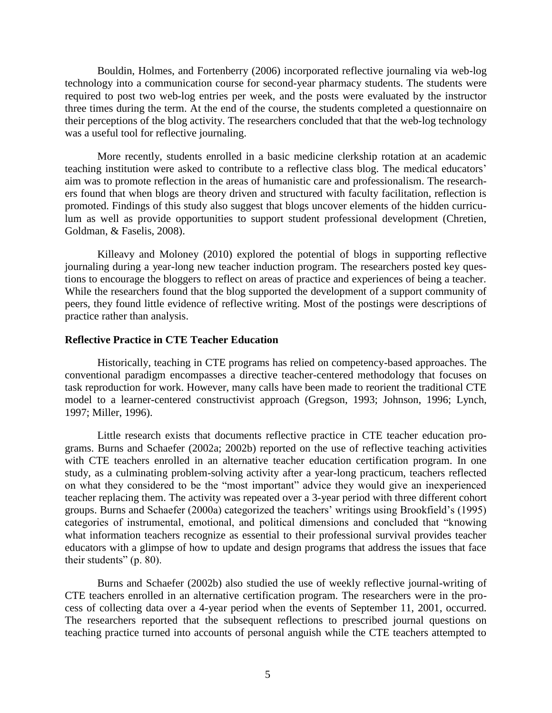Bouldin, Holmes, and Fortenberry (2006) incorporated reflective journaling via web-log technology into a communication course for second-year pharmacy students. The students were required to post two web-log entries per week, and the posts were evaluated by the instructor three times during the term. At the end of the course, the students completed a questionnaire on their perceptions of the blog activity. The researchers concluded that that the web-log technology was a useful tool for reflective journaling.

More recently, students enrolled in a basic medicine clerkship rotation at an academic teaching institution were asked to contribute to a reflective class blog. The medical educators' aim was to promote reflection in the areas of humanistic care and professionalism. The researchers found that when blogs are theory driven and structured with faculty facilitation, reflection is promoted. Findings of this study also suggest that blogs uncover elements of the hidden curriculum as well as provide opportunities to support student professional development (Chretien, Goldman, & Faselis, 2008).

Killeavy and Moloney (2010) explored the potential of blogs in supporting reflective journaling during a year-long new teacher induction program. The researchers posted key questions to encourage the bloggers to reflect on areas of practice and experiences of being a teacher. While the researchers found that the blog supported the development of a support community of peers, they found little evidence of reflective writing. Most of the postings were descriptions of practice rather than analysis.

# **Reflective Practice in CTE Teacher Education**

Historically, teaching in CTE programs has relied on competency-based approaches. The conventional paradigm encompasses a directive teacher-centered methodology that focuses on task reproduction for work. However, many calls have been made to reorient the traditional CTE model to a learner-centered constructivist approach (Gregson, 1993; Johnson, 1996; Lynch, 1997; Miller, 1996).

Little research exists that documents reflective practice in CTE teacher education programs. Burns and Schaefer (2002a; 2002b) reported on the use of reflective teaching activities with CTE teachers enrolled in an alternative teacher education certification program. In one study, as a culminating problem-solving activity after a year-long practicum, teachers reflected on what they considered to be the "most important" advice they would give an inexperienced teacher replacing them. The activity was repeated over a 3-year period with three different cohort groups. Burns and Schaefer (2000a) categorized the teachers' writings using Brookfield's (1995) categories of instrumental, emotional, and political dimensions and concluded that "knowing" what information teachers recognize as essential to their professional survival provides teacher educators with a glimpse of how to update and design programs that address the issues that face their students" (p. 80).

Burns and Schaefer (2002b) also studied the use of weekly reflective journal-writing of CTE teachers enrolled in an alternative certification program. The researchers were in the process of collecting data over a 4-year period when the events of September 11, 2001, occurred. The researchers reported that the subsequent reflections to prescribed journal questions on teaching practice turned into accounts of personal anguish while the CTE teachers attempted to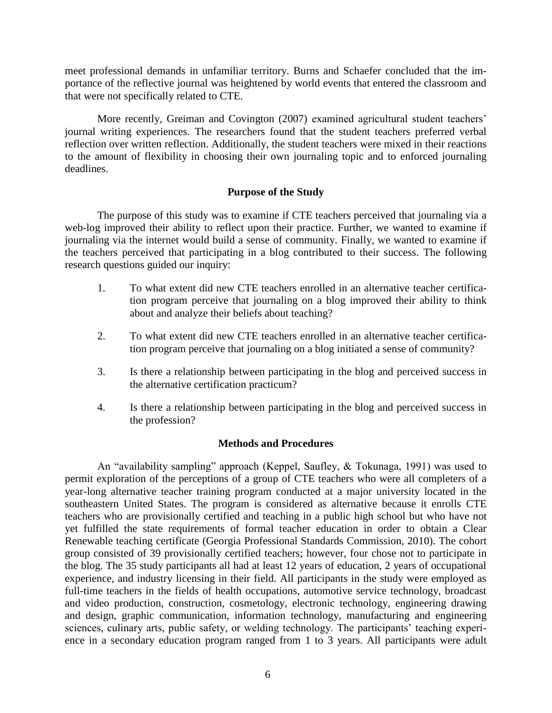meet professional demands in unfamiliar territory. Burns and Schaefer concluded that the importance of the reflective journal was heightened by world events that entered the classroom and that were not specifically related to CTE.

More recently, Greiman and Covington (2007) examined agricultural student teachers' journal writing experiences. The researchers found that the student teachers preferred verbal reflection over written reflection. Additionally, the student teachers were mixed in their reactions to the amount of flexibility in choosing their own journaling topic and to enforced journaling deadlines.

# **Purpose of the Study**

The purpose of this study was to examine if CTE teachers perceived that journaling via a web-log improved their ability to reflect upon their practice. Further, we wanted to examine if journaling via the internet would build a sense of community. Finally, we wanted to examine if the teachers perceived that participating in a blog contributed to their success. The following research questions guided our inquiry:

- 1. To what extent did new CTE teachers enrolled in an alternative teacher certification program perceive that journaling on a blog improved their ability to think about and analyze their beliefs about teaching?
- 2. To what extent did new CTE teachers enrolled in an alternative teacher certification program perceive that journaling on a blog initiated a sense of community?
- 3. Is there a relationship between participating in the blog and perceived success in the alternative certification practicum?
- 4. Is there a relationship between participating in the blog and perceived success in the profession?

# **Methods and Procedures**

An "availability sampling" approach (Keppel, Saufley, & Tokunaga, 1991) was used to permit exploration of the perceptions of a group of CTE teachers who were all completers of a year-long alternative teacher training program conducted at a major university located in the southeastern United States. The program is considered as alternative because it enrolls CTE teachers who are provisionally certified and teaching in a public high school but who have not yet fulfilled the state requirements of formal teacher education in order to obtain a Clear Renewable teaching certificate (Georgia Professional Standards Commission, 2010). The cohort group consisted of 39 provisionally certified teachers; however, four chose not to participate in the blog. The 35 study participants all had at least 12 years of education, 2 years of occupational experience, and industry licensing in their field. All participants in the study were employed as full-time teachers in the fields of health occupations, automotive service technology, broadcast and video production, construction, cosmetology, electronic technology, engineering drawing and design, graphic communication, information technology, manufacturing and engineering sciences, culinary arts, public safety, or welding technology. The participants' teaching experience in a secondary education program ranged from 1 to 3 years. All participants were adult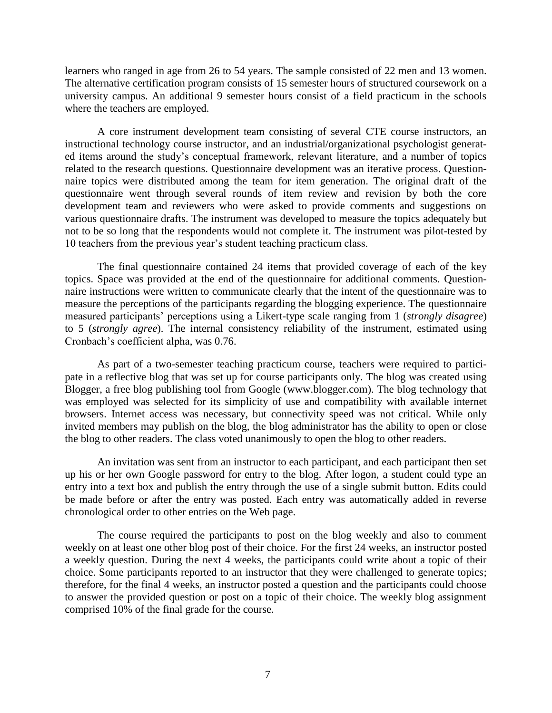learners who ranged in age from 26 to 54 years. The sample consisted of 22 men and 13 women. The alternative certification program consists of 15 semester hours of structured coursework on a university campus. An additional 9 semester hours consist of a field practicum in the schools where the teachers are employed.

A core instrument development team consisting of several CTE course instructors, an instructional technology course instructor, and an industrial/organizational psychologist generated items around the study's conceptual framework, relevant literature, and a number of topics related to the research questions. Questionnaire development was an iterative process. Questionnaire topics were distributed among the team for item generation. The original draft of the questionnaire went through several rounds of item review and revision by both the core development team and reviewers who were asked to provide comments and suggestions on various questionnaire drafts. The instrument was developed to measure the topics adequately but not to be so long that the respondents would not complete it. The instrument was pilot-tested by 10 teachers from the previous year's student teaching practicum class.

The final questionnaire contained 24 items that provided coverage of each of the key topics. Space was provided at the end of the questionnaire for additional comments. Questionnaire instructions were written to communicate clearly that the intent of the questionnaire was to measure the perceptions of the participants regarding the blogging experience. The questionnaire measured participants' perceptions using a Likert-type scale ranging from 1 (*strongly disagree*) to 5 (*strongly agree*). The internal consistency reliability of the instrument, estimated using Cronbach's coefficient alpha, was 0.76.

As part of a two-semester teaching practicum course, teachers were required to participate in a reflective blog that was set up for course participants only. The blog was created using Blogger, a free blog publishing tool from Google (www.blogger.com). The blog technology that was employed was selected for its simplicity of use and compatibility with available internet browsers. Internet access was necessary, but connectivity speed was not critical. While only invited members may publish on the blog, the blog administrator has the ability to open or close the blog to other readers. The class voted unanimously to open the blog to other readers.

An invitation was sent from an instructor to each participant, and each participant then set up his or her own Google password for entry to the blog. After logon, a student could type an entry into a text box and publish the entry through the use of a single submit button. Edits could be made before or after the entry was posted. Each entry was automatically added in reverse chronological order to other entries on the Web page.

The course required the participants to post on the blog weekly and also to comment weekly on at least one other blog post of their choice. For the first 24 weeks, an instructor posted a weekly question. During the next 4 weeks, the participants could write about a topic of their choice. Some participants reported to an instructor that they were challenged to generate topics; therefore, for the final 4 weeks, an instructor posted a question and the participants could choose to answer the provided question or post on a topic of their choice. The weekly blog assignment comprised 10% of the final grade for the course.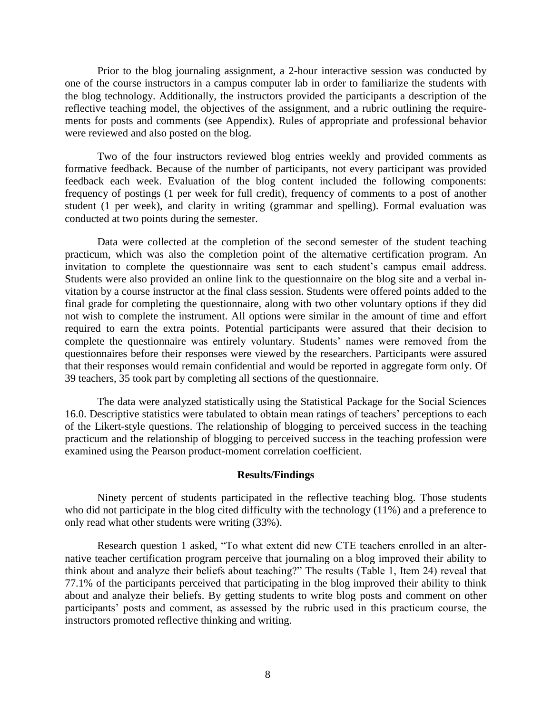Prior to the blog journaling assignment, a 2-hour interactive session was conducted by one of the course instructors in a campus computer lab in order to familiarize the students with the blog technology. Additionally, the instructors provided the participants a description of the reflective teaching model, the objectives of the assignment, and a rubric outlining the requirements for posts and comments (see Appendix). Rules of appropriate and professional behavior were reviewed and also posted on the blog.

Two of the four instructors reviewed blog entries weekly and provided comments as formative feedback. Because of the number of participants, not every participant was provided feedback each week. Evaluation of the blog content included the following components: frequency of postings (1 per week for full credit), frequency of comments to a post of another student (1 per week), and clarity in writing (grammar and spelling). Formal evaluation was conducted at two points during the semester.

Data were collected at the completion of the second semester of the student teaching practicum, which was also the completion point of the alternative certification program. An invitation to complete the questionnaire was sent to each student's campus email address. Students were also provided an online link to the questionnaire on the blog site and a verbal invitation by a course instructor at the final class session. Students were offered points added to the final grade for completing the questionnaire, along with two other voluntary options if they did not wish to complete the instrument. All options were similar in the amount of time and effort required to earn the extra points. Potential participants were assured that their decision to complete the questionnaire was entirely voluntary. Students' names were removed from the questionnaires before their responses were viewed by the researchers. Participants were assured that their responses would remain confidential and would be reported in aggregate form only. Of 39 teachers, 35 took part by completing all sections of the questionnaire.

The data were analyzed statistically using the Statistical Package for the Social Sciences 16.0. Descriptive statistics were tabulated to obtain mean ratings of teachers' perceptions to each of the Likert-style questions. The relationship of blogging to perceived success in the teaching practicum and the relationship of blogging to perceived success in the teaching profession were examined using the Pearson product-moment correlation coefficient.

#### **Results/Findings**

Ninety percent of students participated in the reflective teaching blog. Those students who did not participate in the blog cited difficulty with the technology (11%) and a preference to only read what other students were writing (33%).

Research question 1 asked, "To what extent did new CTE teachers enrolled in an alternative teacher certification program perceive that journaling on a blog improved their ability to think about and analyze their beliefs about teaching?" The results (Table 1, Item 24) reveal that 77.1% of the participants perceived that participating in the blog improved their ability to think about and analyze their beliefs. By getting students to write blog posts and comment on other participants' posts and comment, as assessed by the rubric used in this practicum course, the instructors promoted reflective thinking and writing.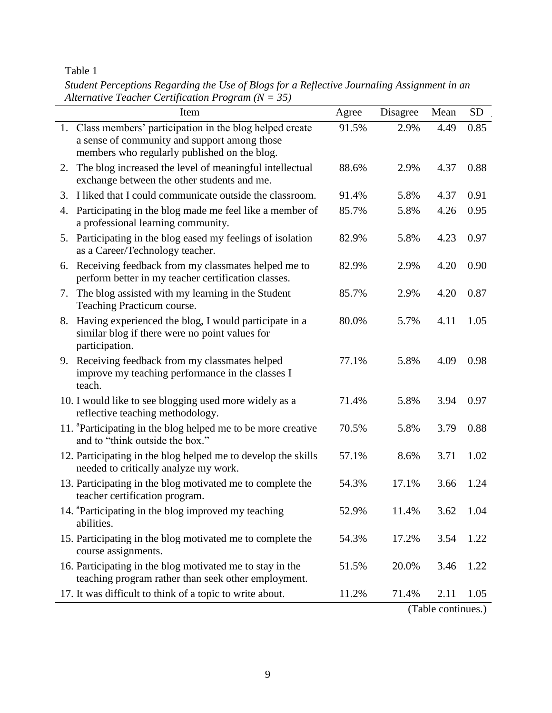# Table 1

*Student Perceptions Regarding the Use of Blogs for a Reflective Journaling Assignment in an Alternative Teacher Certification Program (N = 35)*

| Item                                                                                                                                                      | Agree | Disagree                       | Mean | <b>SD</b> |
|-----------------------------------------------------------------------------------------------------------------------------------------------------------|-------|--------------------------------|------|-----------|
| 1. Class members' participation in the blog helped create<br>a sense of community and support among those<br>members who regularly published on the blog. | 91.5% | 2.9%                           | 4.49 | 0.85      |
| 2. The blog increased the level of meaningful intellectual<br>exchange between the other students and me.                                                 | 88.6% | 2.9%                           | 4.37 | 0.88      |
| I liked that I could communicate outside the classroom.<br>3.                                                                                             | 91.4% | 5.8%                           | 4.37 | 0.91      |
| Participating in the blog made me feel like a member of<br>4.<br>a professional learning community.                                                       | 85.7% | 5.8%                           | 4.26 | 0.95      |
| 5. Participating in the blog eased my feelings of isolation<br>as a Career/Technology teacher.                                                            | 82.9% | 5.8%                           | 4.23 | 0.97      |
| 6. Receiving feedback from my classmates helped me to<br>perform better in my teacher certification classes.                                              | 82.9% | 2.9%                           | 4.20 | 0.90      |
| The blog assisted with my learning in the Student<br>7.<br>Teaching Practicum course.                                                                     | 85.7% | 2.9%                           | 4.20 | 0.87      |
| 8. Having experienced the blog, I would participate in a<br>similar blog if there were no point values for<br>participation.                              | 80.0% | 5.7%                           | 4.11 | 1.05      |
| 9. Receiving feedback from my classmates helped<br>improve my teaching performance in the classes I<br>teach.                                             | 77.1% | 5.8%                           | 4.09 | 0.98      |
| 10. I would like to see blogging used more widely as a<br>reflective teaching methodology.                                                                | 71.4% | 5.8%                           | 3.94 | 0.97      |
| 11. <sup>a</sup> Participating in the blog helped me to be more creative<br>and to "think outside the box."                                               | 70.5% | 5.8%                           | 3.79 | 0.88      |
| 12. Participating in the blog helped me to develop the skills<br>needed to critically analyze my work.                                                    | 57.1% | 8.6%                           | 3.71 | 1.02      |
| 13. Participating in the blog motivated me to complete the<br>teacher certification program.                                                              | 54.3% | 17.1%                          | 3.66 | 1.24      |
| 14. <sup>a</sup> Participating in the blog improved my teaching<br>abilities.                                                                             | 52.9% | 11.4%                          | 3.62 | 1.04      |
| 15. Participating in the blog motivated me to complete the<br>course assignments.                                                                         | 54.3% | 17.2%                          | 3.54 | 1.22      |
| 16. Participating in the blog motivated me to stay in the<br>teaching program rather than seek other employment.                                          | 51.5% | 20.0%                          | 3.46 | 1.22      |
| 17. It was difficult to think of a topic to write about.                                                                                                  | 11.2% | 71.4%<br>$(T_{\rm B} \cdot L)$ | 2.11 | 1.05      |

(Table continues.)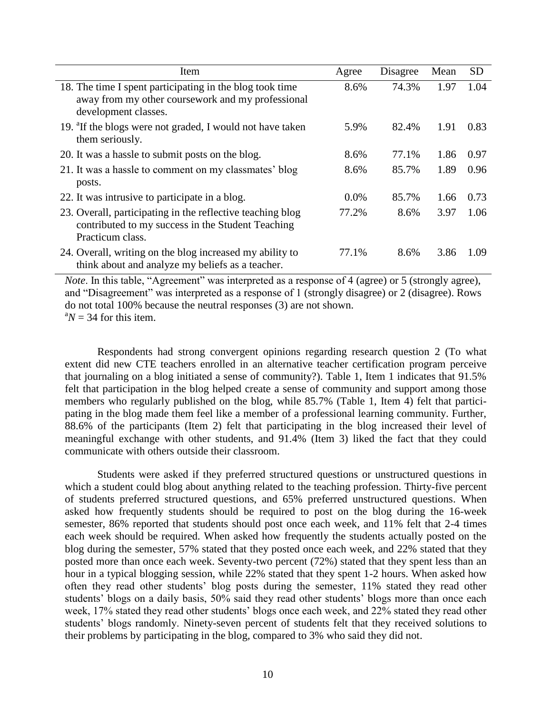| Item                                                                                                                                  | Agree   | Disagree | Mean | <b>SD</b> |
|---------------------------------------------------------------------------------------------------------------------------------------|---------|----------|------|-----------|
| 18. The time I spent participating in the blog took time<br>away from my other coursework and my professional<br>development classes. | 8.6%    | 74.3%    | 1.97 | 1.04      |
| 19. <sup>a</sup> If the blogs were not graded, I would not have taken<br>them seriously.                                              | 5.9%    | 82.4%    | 1.91 | 0.83      |
| 20. It was a hassle to submit posts on the blog.                                                                                      | 8.6%    | 77.1%    | 1.86 | 0.97      |
| 21. It was a hassle to comment on my classmates' blog<br>posts.                                                                       | 8.6%    | 85.7%    | 1.89 | 0.96      |
| 22. It was intrusive to participate in a blog.                                                                                        | $0.0\%$ | 85.7%    | 1.66 | 0.73      |
| 23. Overall, participating in the reflective teaching blog<br>contributed to my success in the Student Teaching<br>Practicum class.   | 77.2%   | 8.6%     | 3.97 | 1.06      |
| 24. Overall, writing on the blog increased my ability to<br>think about and analyze my beliefs as a teacher.                          | 77.1%   | 8.6%     | 3.86 | 1.09      |

*Note*. In this table, "Agreement" was interpreted as a response of 4 (agree) or 5 (strongly agree), and "Disagreement" was interpreted as a response of 1 (strongly disagree) or 2 (disagree). Rows do not total 100% because the neutral responses (3) are not shown.  ${}^{a}N = 34$  for this item.

Respondents had strong convergent opinions regarding research question 2 (To what extent did new CTE teachers enrolled in an alternative teacher certification program perceive that journaling on a blog initiated a sense of community?). Table 1, Item 1 indicates that 91.5% felt that participation in the blog helped create a sense of community and support among those members who regularly published on the blog, while 85.7% (Table 1, Item 4) felt that participating in the blog made them feel like a member of a professional learning community. Further, 88.6% of the participants (Item 2) felt that participating in the blog increased their level of meaningful exchange with other students, and 91.4% (Item 3) liked the fact that they could communicate with others outside their classroom.

Students were asked if they preferred structured questions or unstructured questions in which a student could blog about anything related to the teaching profession. Thirty-five percent of students preferred structured questions, and 65% preferred unstructured questions. When asked how frequently students should be required to post on the blog during the 16-week semester, 86% reported that students should post once each week, and 11% felt that 2-4 times each week should be required. When asked how frequently the students actually posted on the blog during the semester, 57% stated that they posted once each week, and 22% stated that they posted more than once each week. Seventy-two percent (72%) stated that they spent less than an hour in a typical blogging session, while 22% stated that they spent 1-2 hours. When asked how often they read other students' blog posts during the semester, 11% stated they read other students' blogs on a daily basis, 50% said they read other students' blogs more than once each week, 17% stated they read other students' blogs once each week, and 22% stated they read other students' blogs randomly. Ninety-seven percent of students felt that they received solutions to their problems by participating in the blog, compared to 3% who said they did not.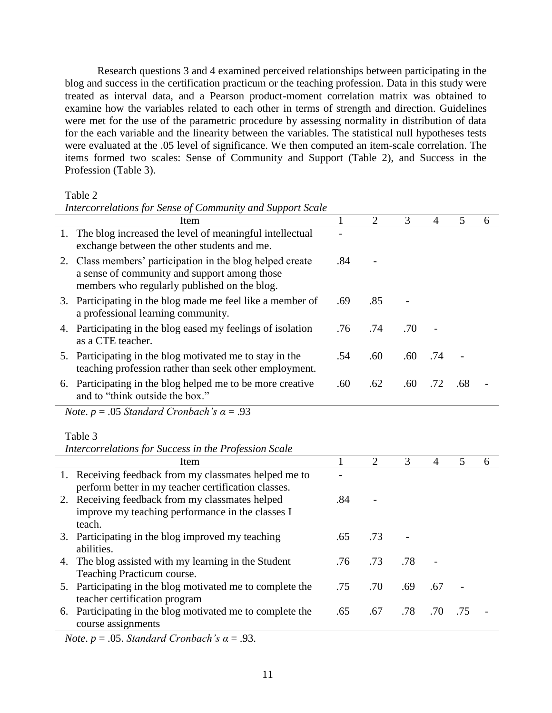Research questions 3 and 4 examined perceived relationships between participating in the blog and success in the certification practicum or the teaching profession. Data in this study were treated as interval data, and a Pearson product-moment correlation matrix was obtained to examine how the variables related to each other in terms of strength and direction. Guidelines were met for the use of the parametric procedure by assessing normality in distribution of data for the each variable and the linearity between the variables. The statistical null hypotheses tests were evaluated at the .05 level of significance. We then computed an item-scale correlation. The items formed two scales: Sense of Community and Support (Table 2), and Success in the Profession (Table 3).

Table 2

*Intercorrelations for Sense of Community and Support Scale*

| Item                                                                                                                                                      |     | 2   | 3   | 4                        | 5   | 6 |
|-----------------------------------------------------------------------------------------------------------------------------------------------------------|-----|-----|-----|--------------------------|-----|---|
| 1. The blog increased the level of meaningful intellectual<br>exchange between the other students and me.                                                 |     |     |     |                          |     |   |
| 2. Class members' participation in the blog helped create<br>a sense of community and support among those<br>members who regularly published on the blog. | .84 |     |     |                          |     |   |
| 3. Participating in the blog made me feel like a member of<br>a professional learning community.                                                          | .69 | .85 |     |                          |     |   |
| 4. Participating in the blog eased my feelings of isolation<br>as a CTE teacher.                                                                          | .76 | .74 | .70 | $\overline{\phantom{0}}$ |     |   |
| 5. Participating in the blog motivated me to stay in the<br>teaching profession rather than seek other employment.                                        | .54 | .60 | .60 | .74                      |     |   |
| 6. Participating in the blog helped me to be more creative<br>and to "think outside the box."                                                             | .60 | .62 | .60 | .72                      | .68 |   |

*Note*. *p* = .05 *Standard Cronbach's α* = .93

Table 3

*Intercorrelations for Success in the Profession Scale*

|    | Item                                                      |     | 2   | 3   | 4   | 5   | 6 |
|----|-----------------------------------------------------------|-----|-----|-----|-----|-----|---|
|    | 1. Receiving feedback from my classmates helped me to     |     |     |     |     |     |   |
|    | perform better in my teacher certification classes.       |     |     |     |     |     |   |
|    | 2. Receiving feedback from my classmates helped           | .84 |     |     |     |     |   |
|    | improve my teaching performance in the classes I          |     |     |     |     |     |   |
|    | teach.                                                    |     |     |     |     |     |   |
|    | 3. Participating in the blog improved my teaching         | .65 | .73 |     |     |     |   |
|    | abilities.                                                |     |     |     |     |     |   |
| 4. | The blog assisted with my learning in the Student         | .76 | .73 | .78 |     |     |   |
|    | Teaching Practicum course.                                |     |     |     |     |     |   |
|    | 5. Participating in the blog motivated me to complete the | .75 | .70 | .69 | .67 |     |   |
|    | teacher certification program                             |     |     |     |     |     |   |
|    | 6. Participating in the blog motivated me to complete the | .65 | .67 | .78 | .70 | .75 |   |
|    | course assignments                                        |     |     |     |     |     |   |

*Note*.  $p = .05$ *. Standard Cronbach's*  $\alpha = .93$ *.*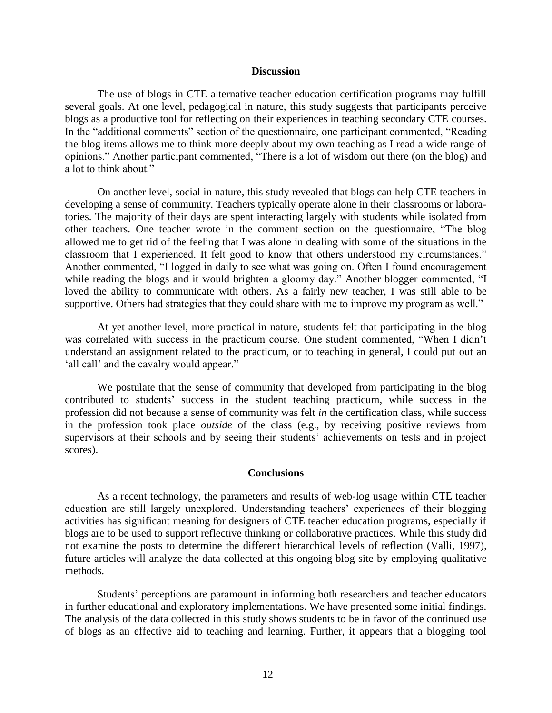#### **Discussion**

The use of blogs in CTE alternative teacher education certification programs may fulfill several goals. At one level, pedagogical in nature, this study suggests that participants perceive blogs as a productive tool for reflecting on their experiences in teaching secondary CTE courses. In the "additional comments" section of the questionnaire, one participant commented, "Reading the blog items allows me to think more deeply about my own teaching as I read a wide range of opinions." Another participant commented, "There is a lot of wisdom out there (on the blog) and a lot to think about."

On another level, social in nature, this study revealed that blogs can help CTE teachers in developing a sense of community. Teachers typically operate alone in their classrooms or laboratories. The majority of their days are spent interacting largely with students while isolated from other teachers. One teacher wrote in the comment section on the questionnaire, "The blog allowed me to get rid of the feeling that I was alone in dealing with some of the situations in the classroom that I experienced. It felt good to know that others understood my circumstances." Another commented, "I logged in daily to see what was going on. Often I found encouragement while reading the blogs and it would brighten a gloomy day." Another blogger commented, "I loved the ability to communicate with others. As a fairly new teacher, I was still able to be supportive. Others had strategies that they could share with me to improve my program as well."

At yet another level, more practical in nature, students felt that participating in the blog was correlated with success in the practicum course. One student commented, "When I didn't understand an assignment related to the practicum, or to teaching in general, I could put out an 'all call' and the cavalry would appear."

We postulate that the sense of community that developed from participating in the blog contributed to students' success in the student teaching practicum, while success in the profession did not because a sense of community was felt *in* the certification class, while success in the profession took place *outside* of the class (e.g., by receiving positive reviews from supervisors at their schools and by seeing their students' achievements on tests and in project scores).

#### **Conclusions**

As a recent technology, the parameters and results of web-log usage within CTE teacher education are still largely unexplored. Understanding teachers' experiences of their blogging activities has significant meaning for designers of CTE teacher education programs, especially if blogs are to be used to support reflective thinking or collaborative practices. While this study did not examine the posts to determine the different hierarchical levels of reflection (Valli, 1997), future articles will analyze the data collected at this ongoing blog site by employing qualitative methods.

Students' perceptions are paramount in informing both researchers and teacher educators in further educational and exploratory implementations. We have presented some initial findings. The analysis of the data collected in this study shows students to be in favor of the continued use of blogs as an effective aid to teaching and learning. Further, it appears that a blogging tool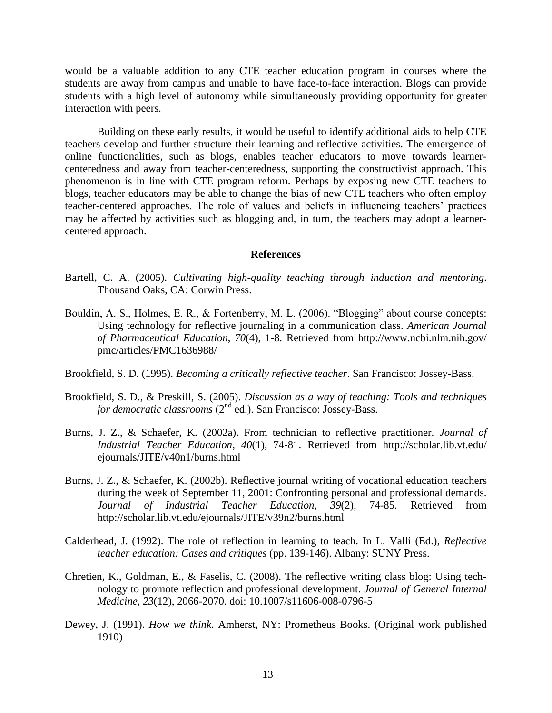would be a valuable addition to any CTE teacher education program in courses where the students are away from campus and unable to have face-to-face interaction. Blogs can provide students with a high level of autonomy while simultaneously providing opportunity for greater interaction with peers.

Building on these early results, it would be useful to identify additional aids to help CTE teachers develop and further structure their learning and reflective activities. The emergence of online functionalities, such as blogs, enables teacher educators to move towards learnercenteredness and away from teacher-centeredness, supporting the constructivist approach. This phenomenon is in line with CTE program reform. Perhaps by exposing new CTE teachers to blogs, teacher educators may be able to change the bias of new CTE teachers who often employ teacher-centered approaches. The role of values and beliefs in influencing teachers' practices may be affected by activities such as blogging and, in turn, the teachers may adopt a learnercentered approach.

#### **References**

- Bartell, C. A. (2005). *Cultivating high-quality teaching through induction and mentoring*. Thousand Oaks, CA: Corwin Press.
- Bouldin, A. S., Holmes, E. R., & Fortenberry, M. L. (2006). "Blogging" about course concepts: Using technology for reflective journaling in a communication class. *American Journal of Pharmaceutical Education*, *70*(4), 1-8. Retrieved from http://www.ncbi.nlm.nih.gov/ pmc/articles/PMC1636988/
- Brookfield, S. D. (1995). *Becoming a critically reflective teacher*. San Francisco: Jossey-Bass.
- Brookfield, S. D., & Preskill, S. (2005). *Discussion as a way of teaching: Tools and techniques for democratic classrooms* (2<sup>nd</sup> ed.). San Francisco: Jossey-Bass.
- Burns, J. Z., & Schaefer, K. (2002a). From technician to reflective practitioner. *Journal of Industrial Teacher Education*, *40*(1), 74-81. Retrieved from http://scholar.lib.vt.edu/ ejournals/JITE/v40n1/burns.html
- Burns, J. Z., & Schaefer, K. (2002b). Reflective journal writing of vocational education teachers during the week of September 11, 2001: Confronting personal and professional demands. *Journal of Industrial Teacher Education*, *39*(2), 74-85. Retrieved from http://scholar.lib.vt.edu/ejournals/JITE/v39n2/burns.html
- Calderhead, J. (1992). The role of reflection in learning to teach. In L. Valli (Ed.), *Reflective teacher education: Cases and critiques* (pp. 139-146). Albany: SUNY Press.
- Chretien, K., Goldman, E., & Faselis, C. (2008). The reflective writing class blog: Using technology to promote reflection and professional development. *Journal of General Internal Medicine*, *23*(12), 2066-2070. doi: 10.1007/s11606-008-0796-5
- Dewey, J. (1991). *How we think*. Amherst, NY: Prometheus Books. (Original work published 1910)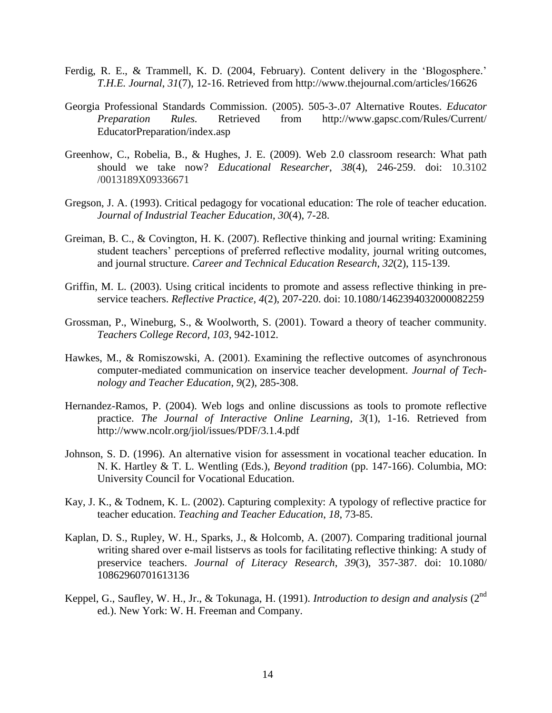- Ferdig, R. E., & Trammell, K. D. (2004, February). Content delivery in the 'Blogosphere.' *T.H.E. Journal*, *31*(7), 12-16. Retrieved from http://www.thejournal.com/articles/16626
- Georgia Professional Standards Commission. (2005). 505-3-.07 Alternative Routes. *Educator Preparation Rules.* Retrieved from http://www.gapsc.com/Rules/Current/ EducatorPreparation/index.asp
- Greenhow, C., Robelia, B., & Hughes, J. E. (2009). Web 2.0 classroom research: What path should we take now? *Educational Researcher*, *38*(4), 246-259. doi: 10.3102 /0013189X09336671
- Gregson, J. A. (1993). Critical pedagogy for vocational education: The role of teacher education. *Journal of Industrial Teacher Education*, *30*(4), 7-28.
- Greiman, B. C., & Covington, H. K. (2007). Reflective thinking and journal writing: Examining student teachers' perceptions of preferred reflective modality, journal writing outcomes, and journal structure. *Career and Technical Education Research*, *32*(2), 115-139.
- Griffin, M. L. (2003). Using critical incidents to promote and assess reflective thinking in preservice teachers. *Reflective Practice*, *4*(2), 207-220. doi: 10.1080/1462394032000082259
- Grossman, P., Wineburg, S., & Woolworth, S. (2001). Toward a theory of teacher community. *Teachers College Record*, *103*, 942-1012.
- Hawkes, M., & Romiszowski, A. (2001). Examining the reflective outcomes of asynchronous computer-mediated communication on inservice teacher development. *Journal of Technology and Teacher Education*, *9*(2), 285-308.
- Hernandez-Ramos, P. (2004). Web logs and online discussions as tools to promote reflective practice. *The Journal of Interactive Online Learning*, *3*(1), 1-16. Retrieved from http://www.ncolr.org/jiol/issues/PDF/3.1.4.pdf
- Johnson, S. D. (1996). An alternative vision for assessment in vocational teacher education. In N. K. Hartley & T. L. Wentling (Eds.), *Beyond tradition* (pp. 147-166). Columbia, MO: University Council for Vocational Education.
- Kay, J. K., & Todnem, K. L. (2002). Capturing complexity: A typology of reflective practice for teacher education. *Teaching and Teacher Education*, *18*, 73-85.
- Kaplan, D. S., Rupley, W. H., Sparks, J., & Holcomb, A. (2007). Comparing traditional journal writing shared over e-mail listservs as tools for facilitating reflective thinking: A study of preservice teachers. *Journal of Literacy Research*, *39*(3), 357-387. doi: 10.1080/ 10862960701613136
- Keppel, G., Saufley, W. H., Jr., & Tokunaga, H. (1991). *Introduction to design and analysis* (2nd ed.). New York: W. H. Freeman and Company.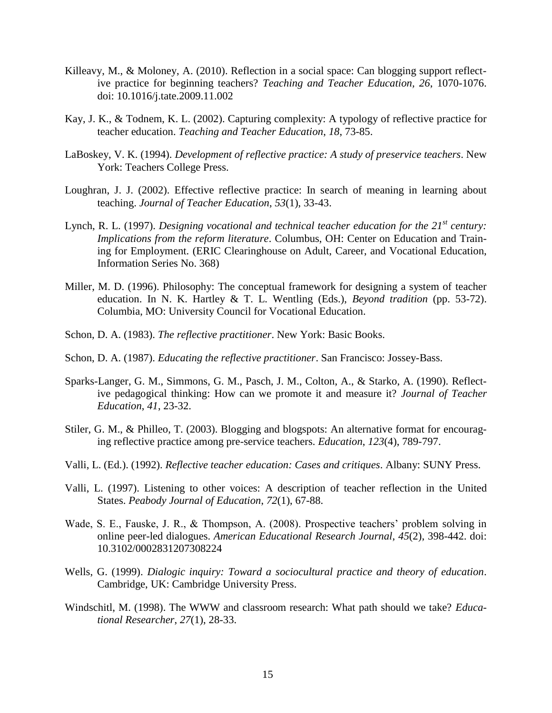- Killeavy, M., & Moloney, A. (2010). Reflection in a social space: Can blogging support reflective practice for beginning teachers? *Teaching and Teacher Education, 26*, 1070-1076. doi: 10.1016/j.tate.2009.11.002
- Kay, J. K., & Todnem, K. L. (2002). Capturing complexity: A typology of reflective practice for teacher education. *Teaching and Teacher Education*, *18*, 73-85.
- LaBoskey, V. K. (1994). *Development of reflective practice: A study of preservice teachers*. New York: Teachers College Press.
- Loughran, J. J. (2002). Effective reflective practice: In search of meaning in learning about teaching. *Journal of Teacher Education*, *53*(1), 33-43.
- Lynch, R. L. (1997). *Designing vocational and technical teacher education for the 21st century: Implications from the reform literature*. Columbus, OH: Center on Education and Training for Employment. (ERIC Clearinghouse on Adult, Career, and Vocational Education, Information Series No. 368)
- Miller, M. D. (1996). Philosophy: The conceptual framework for designing a system of teacher education. In N. K. Hartley & T. L. Wentling (Eds.), *Beyond tradition* (pp. 53-72). Columbia, MO: University Council for Vocational Education.
- Schon, D. A. (1983). *The reflective practitioner*. New York: Basic Books.
- Schon, D. A. (1987). *Educating the reflective practitioner*. San Francisco: Jossey-Bass.
- Sparks-Langer, G. M., Simmons, G. M., Pasch, J. M., Colton, A., & Starko, A. (1990). Reflective pedagogical thinking: How can we promote it and measure it? *Journal of Teacher Education*, *41*, 23-32.
- Stiler, G. M., & Philleo, T. (2003). Blogging and blogspots: An alternative format for encouraging reflective practice among pre-service teachers. *Education*, *123*(4), 789-797.
- Valli, L. (Ed.). (1992). *Reflective teacher education: Cases and critiques*. Albany: SUNY Press.
- Valli, L. (1997). Listening to other voices: A description of teacher reflection in the United States. *Peabody Journal of Education*, *72*(1), 67-88.
- Wade, S. E., Fauske, J. R., & Thompson, A. (2008). Prospective teachers' problem solving in online peer-led dialogues. *American Educational Research Journal*, *45*(2), 398-442. doi: 10.3102/0002831207308224
- Wells, G. (1999). *Dialogic inquiry: Toward a sociocultural practice and theory of education*. Cambridge, UK: Cambridge University Press.
- Windschitl, M. (1998). The WWW and classroom research: What path should we take? *Educational Researcher*, *27*(1), 28-33.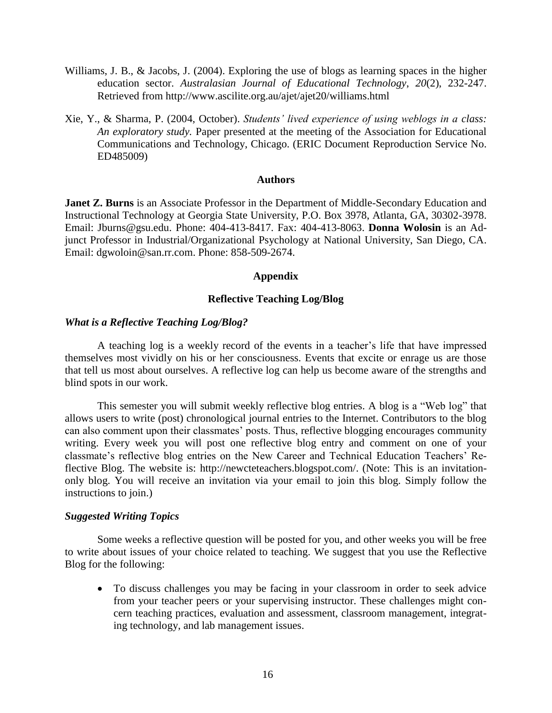- Williams, J. B., & Jacobs, J. (2004). Exploring the use of blogs as learning spaces in the higher education sector. *Australasian Journal of Educational Technology*, *20*(2), 232-247. Retrieved from http://www.ascilite.org.au/ajet/ajet20/williams.html
- Xie, Y., & Sharma, P. (2004, October). *Students' lived experience of using weblogs in a class: An exploratory study.* Paper presented at the meeting of the Association for Educational Communications and Technology, Chicago. (ERIC Document Reproduction Service No. ED485009)

#### **Authors**

**Janet Z. Burns** is an Associate Professor in the Department of Middle-Secondary Education and Instructional Technology at Georgia State University, P.O. Box 3978, Atlanta, GA, 30302-3978. Email: Jburns@gsu.edu. Phone: 404-413-8417. Fax: 404-413-8063. **Donna Wolosin** is an Adjunct Professor in Industrial/Organizational Psychology at National University, San Diego, CA. Email: dgwoloin@san.rr.com. Phone: 858-509-2674.

#### **Appendix**

# **Reflective Teaching Log/Blog**

# *What is a Reflective Teaching Log/Blog?*

A teaching log is a weekly record of the events in a teacher's life that have impressed themselves most vividly on his or her consciousness. Events that excite or enrage us are those that tell us most about ourselves. A reflective log can help us become aware of the strengths and blind spots in our work.

This semester you will submit weekly reflective blog entries. A blog is a "Web log" that allows users to write (post) chronological journal entries to the Internet. Contributors to the blog can also comment upon their classmates' posts. Thus, reflective blogging encourages community writing. Every week you will post one reflective blog entry and comment on one of your classmate's reflective blog entries on the New Career and Technical Education Teachers' Reflective Blog. The website is: http://newcteteachers.blogspot.com/. (Note: This is an invitationonly blog. You will receive an invitation via your email to join this blog. Simply follow the instructions to join.)

#### *Suggested Writing Topics*

Some weeks a reflective question will be posted for you, and other weeks you will be free to write about issues of your choice related to teaching. We suggest that you use the Reflective Blog for the following:

 To discuss challenges you may be facing in your classroom in order to seek advice from your teacher peers or your supervising instructor. These challenges might concern teaching practices, evaluation and assessment, classroom management, integrating technology, and lab management issues.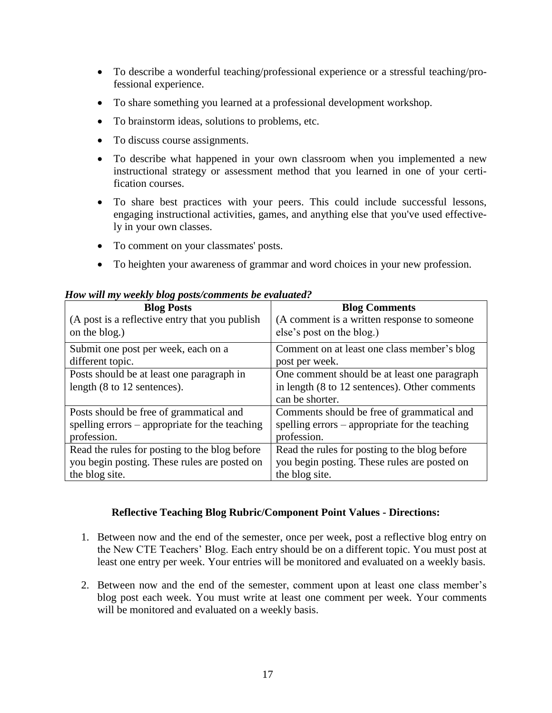- To describe a wonderful teaching/professional experience or a stressful teaching/professional experience.
- To share something you learned at a professional development workshop.
- To brainstorm ideas, solutions to problems, etc.
- To discuss course assignments.
- To describe what happened in your own classroom when you implemented a new instructional strategy or assessment method that you learned in one of your certification courses.
- To share best practices with your peers. This could include successful lessons, engaging instructional activities, games, and anything else that you've used effectively in your own classes.
- To comment on your classmates' posts.
- To heighten your awareness of grammar and word choices in your new profession.

| <b>Blog Posts</b>                              | <b>Blog Comments</b>                           |
|------------------------------------------------|------------------------------------------------|
| (A post is a reflective entry that you publish | (A comment is a written response to someone    |
| on the blog.)                                  | else's post on the blog.)                      |
|                                                |                                                |
| Submit one post per week, each on a            | Comment on at least one class member's blog    |
| different topic.                               | post per week.                                 |
|                                                |                                                |
| Posts should be at least one paragraph in      | One comment should be at least one paragraph   |
| length (8 to 12 sentences).                    | in length (8 to 12 sentences). Other comments  |
|                                                | can be shorter.                                |
|                                                |                                                |
| Posts should be free of grammatical and        | Comments should be free of grammatical and     |
| spelling errors – appropriate for the teaching | spelling errors – appropriate for the teaching |
| profession.                                    | profession.                                    |
|                                                |                                                |
| Read the rules for posting to the blog before  | Read the rules for posting to the blog before  |
| you begin posting. These rules are posted on   | you begin posting. These rules are posted on   |
| the blog site.                                 | the blog site.                                 |

# *How will my weekly blog posts/comments be evaluated?*

# **Reflective Teaching Blog Rubric/Component Point Values - Directions:**

- 1. Between now and the end of the semester, once per week, post a reflective blog entry on the New CTE Teachers' Blog. Each entry should be on a different topic. You must post at least one entry per week. Your entries will be monitored and evaluated on a weekly basis.
- 2. Between now and the end of the semester, comment upon at least one class member's blog post each week. You must write at least one comment per week. Your comments will be monitored and evaluated on a weekly basis.